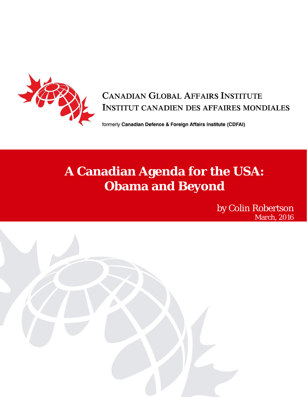

## **CANADIAN GLOBAL AFFAIRS INSTITUTE INSTITUT CANADIEN DES AFFAIRES MONDIALES**

formerly Canadian Defence & Foreign Affairs Institute (CDFAI)

# **A Canadian Agenda for the USA: Obama and Beyond**

by Colin Robertson March, 2016

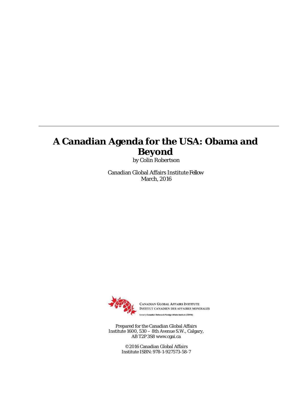## **A Canadian Agenda for the USA: Obama and Beyond**

by Colin Robertson

Canadian Global Affairs Institute Fellow March, 2016



INSTITUT CANADIEN DES AFFAIRES MONDIALES & Foreign Affairs Institute (CDFAI)

Prepared for the Canadian Global Affairs Institute 1600, 530 – 8th Avenue S.W., Calgary, AB T2P3S8 [www.cgai.ca](http://www.cgai.ca/)

> ©2016 Canadian Global Affairs Institute ISBN: 978-1-927573-58-7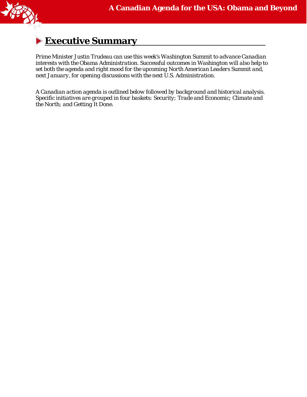

## **Executive Summary**

*Prime Minister Justin Trudeau can use this week's Washington Summit to advance Canadian interests with the Obama Administration. Successful outcomes in Washington will also help to set both the agenda and right mood for the upcoming North American Leaders Summit and, next January, for opening discussions with the next U.S. Administration.* 

*A Canadian action agenda is outlined below followed by background and historical analysis. Specific initiatives are grouped in four baskets: Security; Trade and Economic; Climate and the North; and Getting It Done.*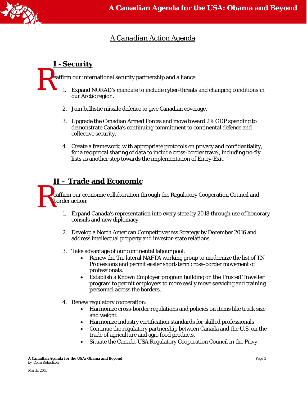

### *A Canadian Action Agenda*

### **I - Security**

 $\mathbf{R}$ eaffirm our international security partnership and alliance:

- 1. Expand NORAD's mandate to include cyber-threats and changing conditions in our Arctic region.
- 2. Join ballistic missile defence to give Canadian coverage.
- 3. Upgrade the Canadian Armed Forces and move toward 2% GDP spending to demonstrate Canada's continuing commitment to continental defence and collective security.
- 4. Create a framework, with appropriate protocols on privacy and confidentiality, for a reciprocal sharing of data to include cross-border travel, including no-fly lists as another step towards the implementation of Entry-Exit.

## **II – Trade and Economic**

R<sup>e</sup> eaffirm our economic collaboration through the Regulatory Cooperation Council and border action:

- 1. Expand Canada's representation into every state by 2018 through use of honorary consuls and new diplomacy.
- 2. Develop a North American Competitiveness Strategy by December 2016 and address intellectual property and investor-state relations.
- 3. Take advantage of our continental labour pool:
	- Renew the Tri-lateral NAFTA working group to modernize the list of TN Professions and permit easier short-term cross-border movement of professionals.
	- Establish a Known Employer program building on the Trusted Traveller program to permit employers to more easily move servicing and training personnel across the borders.
- 4. Renew regulatory cooperation:
	- Harmonize cross-border regulations and policies on items like truck size and weight.
	- Harmonize industry certification standards for skilled professionals
	- Continue the regulatory partnership between Canada and the U.S. on the trade of agriculture and agri-food products.
	- Situate the Canada-USA Regulatory Cooperation Council in the Privy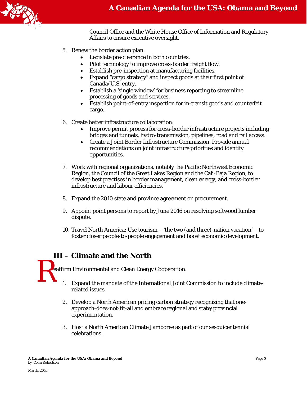

Council Office and the White House Office of Information and Regulatory Affairs to ensure executive oversight.

- 5. Renew the border action plan:
	- Legislate pre-clearance in both countries.
	- Pilot technology to improve cross-border freight flow.
	- Establish pre-inspection at manufacturing facilities.
	- Expand "cargo strategy" and inspect goods at their first point of Canada/U.S. entry.
	- Establish a 'single window' for business reporting to streamline processing of goods and services.
	- Establish point-of-entry inspection for in-transit goods and counterfeit cargo.
- 6. Create better infrastructure collaboration:
	- Improve permit process for cross-border infrastructure projects including bridges and tunnels, hydro-transmission, pipelines, road and rail access.
	- Create a Joint Border Infrastructure Commission. Provide annual recommendations on joint infrastructure priorities and identify opportunities.
- 7. Work with regional organizations, notably the Pacific Northwest Economic Region, the Council of the Great Lakes Region and the Cali-Baja Region, to develop best practises in border management, clean energy, and cross-border infrastructure and labour efficiencies.
- 8. Expand the 2010 state and province agreement on procurement.
- 9. Appoint point persons to report by June 2016 on resolving softwood lumber dispute.
- 10. Travel North America: Use tourism 'the two (and three)-nation vacation' to foster closer people-to-people engagement and boost economic development.

### **III – Climate and the North**

 $\mathbf{R}$ eaffirm Environmental and Clean Energy Cooperation:

- 1. Expand the mandate of the International Joint Commission to include climaterelated issues.
- 2. Develop a North American pricing carbon strategy recognizing that oneapproach-does-not-fit-all and embrace regional and state/provincial experimentation.
- 3. Host a North American Climate Jamboree as part of our sesquicentennial celebrations.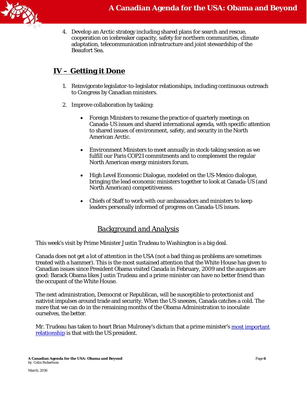

4. Develop an Arctic strategy including shared plans for search and rescue, cooperation on icebreaker capacity, safety for northern communities, climate adaptation, telecommunication infrastructure and joint stewardship of the Beaufort Sea.

### **IV – Getting it Done**

- 1. Reinvigorate legislator-to-legislator relationships, including continuous outreach to Congress by Canadian ministers.
- 2. Improve collaboration by tasking:
	- Foreign Ministers to resume the practice of quarterly meetings on Canada-US issues and shared international agenda, with specific attention to shared issues of environment, safety, and security in the North American Arctic.
	- Environment Ministers to meet annually in stock-taking session as we fulfill our Paris COP21 commitments and to complement the regular North American energy ministers forum.
	- High Level Economic Dialogue, modeled on the US-Mexico dialogue, bringing the lead economic ministers together to look at Canada-US (and North American) competitiveness.
	- Chiefs of Staff to work with our ambassadors and ministers to keep leaders personally informed of progress on Canada-US issues.

### *Background and Analysis*

This week's visit by Prime Minister Justin Trudeau to Washington is a big deal.

Canada does not get a lot of attention in the USA (not a bad thing as problems are sometimes treated with a hammer). This is the most sustained attention that the White House has given to Canadian issues since President Obama visited Canada in February, 2009 and the auspices are good: Barack Obama likes Justin Trudeau and a prime minister can have no better friend than the occupant of the White House.

The next administration, Democrat or Republican, will be susceptible to protectionist and nativist impulses around trade and security. When the US sneezes, Canada catches a cold. The more that we can do in the remaining months of the Obama Administration to inoculate ourselves, the better.

Mr. Trudeau has taken to heart Brian Mulroney's dictum that a prime minister's most important [relationship](https://www.liberal.ca/justin-trudeaus-speech-on-real-change-in-canada-u-s-relations/) is that with the US president.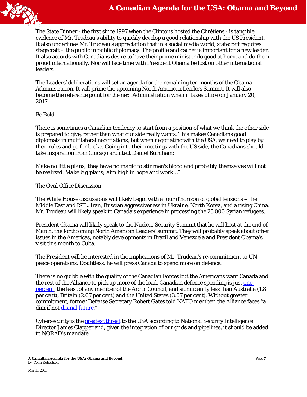

The State Dinner - the first since 1997 when the Clintons hosted the Chrétiens - is tangible evidence of Mr. Trudeau's ability to quickly develop a good relationship with the US President. It also underlines Mr. Trudeau's appreciation that in a social media world, statecraft requires stagecraft – the public in public diplomacy. The profile and cachet is important for a new leader. It also accords with Canadians desire to have their prime minister do good at home and do them proud internationally. Nor will face time with President Obama be lost on other international leaders.

The Leaders' deliberations will set an agenda for the remaining ten months of the Obama Administration. It will prime the upcoming North American Leaders Summit. It will also become the reference point for the next Administration when it takes office on January 20, 2017.

#### *Be Bold*

There is sometimes a Canadian tendency to start from a position of what we think the other side is prepared to give, rather than what our side really wants. This makes Canadians good diplomats in multilateral negotiations, but when negotiating with the USA, we need to play by their rules and go for broke. Going into their meetings with the US side, the Canadians should take inspiration from Chicago architect Daniel Burnham:

*Make no little plans; they have no magic to stir men's blood and probably themselves will not be realized. Make big plans; aim high in hope and work…"*

#### *The Oval Office Discussion*

The White House discussions will likely begin with a tour d'horizon of global tensions – the Middle East and ISIL, Iran, Russian aggressiveness in Ukraine, North Korea, and a rising China. Mr. Trudeau will likely speak to Canada's experience in processing the 25,000 Syrian refugees.

President Obama will likely speak to the Nuclear Security Summit that he will host at the end of March, the forthcoming North American Leaders' summit. They will probably speak about other issues in the Americas, notably developments in Brazil and Venezuela and President Obama's visit this month to Cuba.

The President will be interested in the implications of Mr. Trudeau's re-commitment to UN peace operations. Doubtless, he will press Canada to spend more on defence.

There is no quibble with the quality of the Canadian Forces but the Americans want Canada and the rest of the Alliance to pick up more of the load. Canadian defence spending is just [one](http://www.nato.int/nato_static_fl2014/assets/pdf/pdf_2016_01/20160129_160128-pr-2016-11-eng.pdf#page=2)  [percent,](http://www.nato.int/nato_static_fl2014/assets/pdf/pdf_2016_01/20160129_160128-pr-2016-11-eng.pdf#page=2) the least of any member of the Arctic Council, and significantly less than Australia (1.8 per cent), Britain (2.07 per cent) and the United States (3.07 per cent). Without greater commitment, former Defense Secretary Robert Gates told NATO member, the Alliance faces "a dim if not [dismal future.](http://www.nytimes.com/2011/06/11/world/europe/11gates.html?_r=0)"

Cybersecurity is the [greatest threat](http://www.intelligence.senate.gov/sites/default/files/wwt2016.pdf) to the USA according to National Security Intelligence Director James Clapper and, given the integration of our grids and pipelines, it should be added to NORAD's mandate.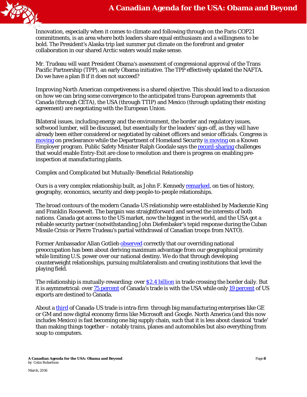

Innovation, especially when it comes to climate and following through on the Paris COP21 commitments, is an area where both leaders share equal enthusiasm and a willingness to be bold. The President's Alaska trip last summer put climate on the forefront and greater collaboration in our shared Arctic waters would make sense.

Mr. Trudeau will want President Obama's assessment of congressional approval of the Trans Pacific Partnership (TPP), an early Obama initiative. The TPP effectively updated the NAFTA. Do we have a plan B if it does not succeed?

Improving North American competiveness is a shared objective. This should lead to a discussion on how we can bring some convergence to the anticipated trans-European agreements that Canada (through CETA), the USA (through TTIP) and Mexico (through updating their existing agreement) are negotiating with the European Union.

Bilateral issues, including energy and the environment, the border and regulatory issues, softwood lumber, will be discussed, but essentially for the leaders' sign-off, as they will have already been either considered or negotiated by cabinet officers and senior officials. Congress is [moving](http://www.prnewswire.com/news-releases/leahy-bipartisan-senate-house-coalition-introduces-bill-to-facilitate-us-preclearance-operations-in-canada-to-expedite-us-canada-travel-and-commerce-300228952.html) on preclearance while the Department of Homeland Security [is moving](https://www.dhs.gov/news/2016/03/03/dhs-launches-known-employer-pilot-program) on a Known Employer program. Public Safety Minister Ralph Goodale says the [record-sharing](http://www.theglobeandmail.com/news/politics/trudeau-obama-to-loosen-border-barriers-slowing-travellers-and-trade/article29044556/) challenges that would enable Entry-Exit are close to resolution and there is progress on enabling preinspection at manufacturing plants.

#### *Complex and Complicated but Mutually-Beneficial Relationship*

Ours is a very complex relationship built, as John F. Kenned[y remarked,](http://www.presidency.ucsb.edu/ws/?pid=8136) on ties of history, geography, economics, security and deep people-to-people relationships.

The broad contours of the modern Canada-US relationship were established by Mackenzie King and Franklin Roosevelt. The bargain was straightforward and served the interests of both nations. Canada got access to the US market, now the biggest in the world, and the USA got a reliable security partner (notwithstanding John Diefenbaker's tepid response during the Cuban Missile Crisis or Pierre Trudeau's partial withdrawal of Canadian troops from NATO).

Former Ambassador Allan Gotlieb [observed](http://www.international.gc.ca/odskelton/gotlieb.aspx?lang=eng) correctly that our overriding national preoccupation has been about deriving maximum advantage from our geographical proximity while limiting U.S. power over our national destiny. We do that through developing counterweight relationships, pursuing multilateralism and creating institutions that level the playing field.

The relationship is mutually-rewarding: over [\\$2.4 billion](http://www.can-am.gc.ca/relations/commercial_relations_commerciales.aspx?lang=eng) in trade crossing the border daily. But it is asymmetrical: over [75 percent](http://www.statcan.gc.ca/tables-tableaux/sum-som/l01/cst01/trad45a-eng.htm) of Canada's trade is with the USA while only [19 percent](https://ustr.gov/countries-regions/americas/canada) of US exports are destined to Canada.

About a [third](http://www.international.gc.ca/economist-economiste/performance/state-point/state_2010_point/2010_6.aspx?lang=eng) of Canada-US trade is intra-firm through big manufacturing enterprises like GE or GM and now digital economy firms like Microsoft and Google. North America (and this now includes Mexico) is fast becoming one big supply chain, such that it is less about classical 'trade' than making things together – notably trains, planes and automobiles but also everything from soup to computers.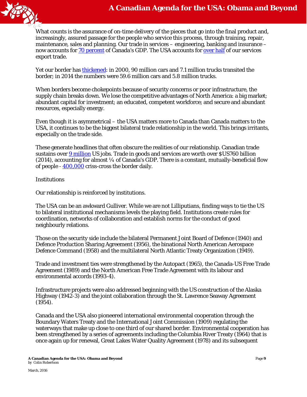

What counts is the assurance of on-time delivery of the pieces that go into the final product and, increasingly, assured passage for the people who service this process, through training, repair, maintenance, sales and planning. Our trade in services – engineering, banking and insurance – now accounts for [70 percent](http://www.international.gc.ca/trade-agreements-accords-commerciaux/topics-domaines/services/canada.aspx?lang=eng) of Canada's GDP. The USA accounts fo[r over half](http://www.international.gc.ca/trade-agreements-accords-commerciaux/topics-domaines/services/canada.aspx?lang=eng) of our services export trade.

Yet our border ha[s thickened:](http://www.theglobeandmail.com/news/politics/trudeau-obama-to-loosen-border-barriers-slowing-travellers-and-trade/article29044556/) in 2000, 90 million cars and 7.1 million trucks transited the border; in 2014 the numbers were 59.6 million cars and 5.8 million trucks.

When borders become chokepoints because of security concerns or poor infrastructure, the supply chain breaks down. We lose the competitive advantages of North America: a big market; abundant capital for investment; an educated, competent workforce; and secure and abundant resources, especially energy.

Even though it is asymmetrical – the USA matters more to Canada than Canada matters to the USA, it continues to be the biggest bilateral trade relationship in the world. This brings irritants, especially on the trade side.

These generate headlines that often obscure the realities of our relationship. Canadian trade sustains over [9 million](http://www.can-am.gc.ca/washington/highlights-faits_saillants/2014/2014-12-Jobs_Study-Etudes_Emplois.aspx?lang=eng) US jobs. Trade in goods and services are worth over \$US760 billion  $(2014)$ , accounting for almost  $\frac{1}{4}$  of Canada's GDP. There is a constant, mutually-beneficial flow of people - [400,000](http://www.can-am.gc.ca/relations/border_frontiere.aspx?lang=eng) criss-cross the border daily.

#### *Institutions*

Our relationship is reinforced by institutions.

The USA can be an awkward Gulliver. While we are not Lilliputians, finding ways to tie the US to bilateral institutional mechanisms levels the playing field. Institutions create rules for coordination, networks of collaboration and establish norms for the conduct of good neighbourly relations.

Those on the security side include the bilateral Permanent Joint Board of Defence (1940) and Defence Production Sharing Agreement (1956), the binational North American Aerospace Defence Command (1958) and the multilateral North Atlantic Treaty Organization (1949).

Trade and investment ties were strengthened by the Autopact (1965), the Canada-US Free Trade Agreement (1989) and the North American Free Trade Agreement with its labour and environmental accords (1993-4).

Infrastructure projects were also addressed beginning with the US construction of the Alaska Highway (1942-3) and the joint collaboration through the St. Lawrence Seaway Agreement (1954).

Canada and the USA also pioneered international environmental cooperation through the Boundary Waters Treaty and the International Joint Commission (1909) regulating the waterways that make up close to one third of our shared border. Environmental cooperation has been strengthened by a series of agreements including the Columbia River Treaty (1964) that is once again up for renewal, Great Lakes Water Quality Agreement (1978) and its subsequent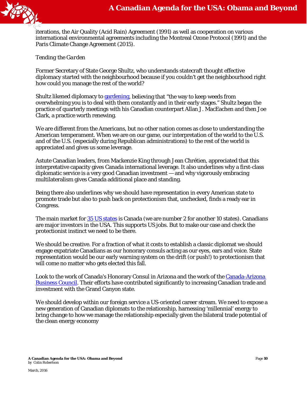

iterations, the Air Quality (Acid Rain) Agreement (1991) as well as cooperation on various international environmental agreements including the Montreal Ozone Protocol (1991) and the Paris Climate Change Agreement (2015).

#### *Tending the Garden*

Former Secretary of State George Shultz, who understands statecraft thought effective diplomacy started with the neighbourhood because if you couldn't get the neighbourhood right how could you manage the rest of the world?

Shultz likened diplomacy to [gardening,](https://books.google.ca/books?id=3ocPU-S9gloC&pg=PT116&dq=George+Shultz++Turmoil+Triumph+gardening&hl=en&sa=X&ved=0ahUKEwj1nobD56nLAhVpt4MKHTpwCzwQ6AEIGzAA#v=onepage&q=George%20Shultz%20%20Turmoil%20Triumph%20gardening&f=false) believing that "the way to keep weeds from overwhelming you is to deal with them constantly and in their early stages." Shultz began the practice of quarterly meetings with his Canadian counterpart Allan J. MacEachen and then Joe Clark, a practice worth renewing.

We are different from the Americans, but no other nation comes as close to understanding the American temperament. When we are on our game, our interpretation of the world to the U.S. and of the U.S. (especially during Republican administrations) to the rest of the world is appreciated and gives us some leverage.

Astute Canadian leaders, from Mackenzie King through Jean Chrétien, appreciated that this interpretative capacity gives Canada international leverage. It also underlines why a first-class diplomatic service is a very good Canadian investment — and why vigorously embracing multilateralism gives Canada additional place and standing.

Being there also underlines why we should have representation in every American state to promote trade but also to push back on protectionism that, unchecked, finds a ready ear in Congress.

The main market for [35 US states](http://actionplan.gc.ca/page/bbg-tpf/bilateral-relations-canada-us-trade-and-investment) is Canada (we are number 2 for another 10 states). Canadians are major investors in the USA. This supports US jobs. But to make our case and check the protectionist instinct we need to be there.

We should be creative. For a fraction of what it costs to establish a classic diplomat we should engage expatriate Canadians as our honorary consuls acting as our eyes, ears and voice. State representation would be our early warning system on the drift (or push!) to protectionism that will come no matter who gets elected this fall.

Look to the work of Canada's Honorary Consul in Arizona and the work of the [Canada-Arizona](http://canaz.net/)  [Business Council.](http://canaz.net/) Their efforts have contributed significantly to increasing Canadian trade and investment with the Grand Canyon state.

We should develop within our foreign service a US-oriented career stream. We need to expose a new generation of Canadian diplomats to the relationship, harnessing 'millennial' energy to bring change to how we manage the relationship especially given the bilateral trade potential of the clean energy economy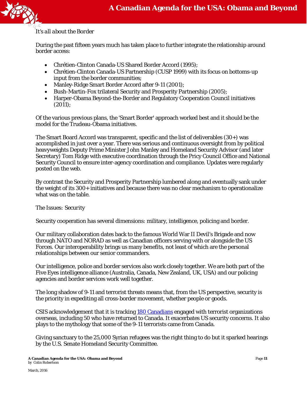#### *It's all about the Border*

During the past fifteen years much has taken place to further integrate the relationship around border access:

- Chrétien-Clinton Canada-US Shared Border Accord (1995);
- Chrétien-Clinton Canada-US Partnership (CUSP 1999) with its focus on bottoms-up input from the border communities;
- Manley-Ridge Smart Border Accord after 9-11 (2001);
- Bush-Martin-Fox trilateral Security and Prosperity Partnership (2005);
- Harper-Obama Beyond-the-Border and Regulatory Cooperation Council initiatives (2011);

Of the various previous plans, the 'Smart Border' approach worked best and it should be the model for the Trudeau-Obama initiatives.

The Smart Board Accord was transparent, specific and the list of deliverables (30+) was accomplished in just over a year. There was serious and continuous oversight from by political heavyweights Deputy Prime Minister John Manley and Homeland Security Advisor (and later Secretary) Tom Ridge with executive coordination through the Pricy Council Office and National Security Council to ensure inter-agency coordination and compliance. Updates were regularly posted on the web.

By contrast the Security and Prosperity Partnership lumbered along and eventually sank under the weight of its 300+ initiatives and because there was no clear mechanism to operationalize what was on the table.

#### *The Issues: Security*

Security cooperation has several dimensions: military, intelligence, policing and border.

Our military collaboration dates back to the famous World War II Devil's Brigade and now through NATO and NORAD as well as Canadian officers serving with or alongside the US Forces. Our interoperability brings us many benefits, not least of which are the personal relationships between our senior commanders.

Our intelligence, police and border services also work closely together. We are both part of the Five Eyes intelligence alliance (Australia, Canada, New Zealand, UK, USA) and our policing agencies and border services work well together.

The long shadow of 9-11 and terrorist threats means that, from the US perspective, security is the priority in expediting all cross-border movement, whether people or goods.

CSIS acknowledgement that it is tracking [180 Canadians](http://www.theglobeandmail.com/news/politics/sharp-rise-in-number-of-canadians-involved-in-terrorist-activities-abroad/article28864101/) engaged with terrorist organizations overseas, including 50 who have returned to Canada. It exacerbates US security concerns. It also plays to the mythology that some of the 9-11 terrorists came from Canada.

Giving sanctuary to the 25,000 Syrian refugees was the right thing to do but it sparked hearings by the U.S. Senate Homeland Security Committee.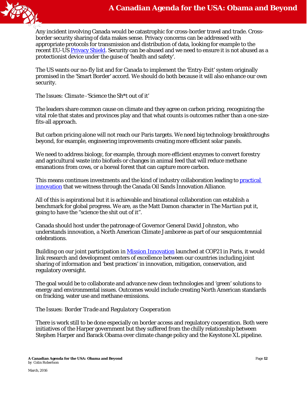

Any incident involving Canada would be catastrophic for cross-border travel and trade. Crossborder security sharing of data makes sense. Privacy concerns can be addressed with appropriate protocols for transmission and distribution of data, looking for example to the recent EU-US [Privacy Shield.](http://europa.eu/rapid/press-release_IP-16-216_en.htm) Security can be abused and we need to ensure it is not abused as a protectionist device under the guise of 'health and safety'.

The US wants our no-fly list and for Canada to implement the 'Entry-Exit' system originally promised in the 'Smart Border' accord. We should do both because it will also enhance our own security.

#### *The Issues: Climate -'Science the Sh\*t out of it'*

The leaders share common cause on climate and they agree on carbon pricing, recognizing the vital role that states and provinces play and that what counts is outcomes rather than a one-sizefits-all approach.

But carbon pricing alone will not reach our Paris targets. We need big technology breakthroughs beyond, for example, engineering improvements creating more efficient solar panels.

We need to address biology, for example, through more efficient enzymes to convert forestry and agricultural waste into biofuels or changes in animal feed that will reduce methane emanations from cows, or a boreal forest that can capture more carbon.

This means continues investments and the kind of industry collaboration leading to [practical](http://www.cosia.ca/initiatives/project-research)  [innovation](http://www.cosia.ca/initiatives/project-research) that we witness through the Canada Oil Sands Innovation Alliance.

All of this is aspirational but it is achievable and binational collaboration can establish a benchmark for global progress. We are, as the Matt Damon character in *The Martian* put it, going to have the "science the shit out of it".

Canada should host under the patronage of Governor General David Johnston, who understands innovation, a North American Climate Jamboree as part of our sesquicentennial celebrations.

Building on our joint participation in [Mission Innovation](http://pm.gc.ca/eng/news/canadas-participation-mission-innovation) launched at COP21 in Paris, it would link research and development centers of excellence between our countries including joint sharing of information and 'best practices' in innovation, mitigation, conservation, and regulatory oversight.

The goal would be to collaborate and advance new clean technologies and 'green' solutions to energy and environmental issues. Outcomes would include creating North American standards on fracking, water use and methane emissions.

#### *The Issues: Border Trade and Regulatory Cooperation*

There is work still to be done especially on border access and regulatory cooperation. Both were initiatives of the Harper government but they suffered from the chilly relationship between Stephen Harper and Barack Obama over climate change policy and the Keystone XL pipeline.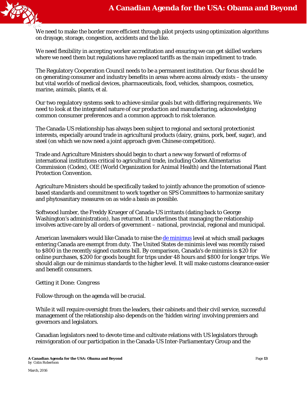

We need to make the border more efficient through pilot projects using optimization algorithms on drayage, storage, congestion, accidents and the like.

We need flexibility in accepting worker accreditation and ensuring we can get skilled workers where we need them but regulations have replaced tariffs as the main impediment to trade.

The Regulatory Cooperation Council needs to be a permanent institution. Our focus should be on generating consumer and industry benefits in areas where access already exists – the unsexy but vital worlds of medical devices, pharmaceuticals, food, vehicles, shampoos, cosmetics, marine, animals, plants, et al.

Our two regulatory systems seek to achieve similar goals but with differing requirements. We need to look at the integrated nature of our production and manufacturing, acknowledging common consumer preferences and a common approach to risk tolerance.

The Canada-US relationship has always been subject to regional and sectoral protectionist interests, especially around trade in agricultural products (dairy, grains, pork, beef, sugar), and steel (on which we now need a joint approach given Chinese competition).

Trade and Agriculture Ministers should begin to chart a new way forward of reforms of international institutions critical to agricultural trade, including Codex Alimentarius Commission (Codex), OIE (World Organization for Animal Health) and the International Plant Protection Convention.

Agriculture Ministers should be specifically tasked to jointly advance the promotion of sciencebased standards and commitment to work together on SPS Committees to harmonize sanitary and phytosanitary measures on as wide a basis as possible.

Softwood lumber, the Freddy Krueger of Canada-US irritants (dating back to George Washington's administration), has returned. It underlines that managing the relationship involves active care by all orders of government – national, provincial, regional and municipal.

American lawmakers would like Canada to raise the [de minimus](http://www.blumenthal.senate.gov/imo/media/doc/Letter%20to%20USTR%20on%20Canadian%20customs%20duties.pdf) level at which small packages entering Canada are exempt from duty. The United States de minimis level was recently raised to \$800 in the recently signed customs bill. By comparison, Canada's de minimis is \$20 for online purchases, \$200 for goods bought for trips under 48 hours and \$800 for longer trips. We should align our de minimus standards to the higher level. It will make customs clearance easier and benefit consumers.

#### *Getting it Done: Congress*

Follow-through on the agenda will be crucial.

While it will require oversight from the leaders, their cabinets and their civil service, successful management of the relationship also depends on the 'hidden wiring' involving premiers and governors and legislators.

Canadian legislators need to devote time and cultivate relations with US legislators through reinvigoration of our participation in the Canada-US Inter-Parliamentary Group and the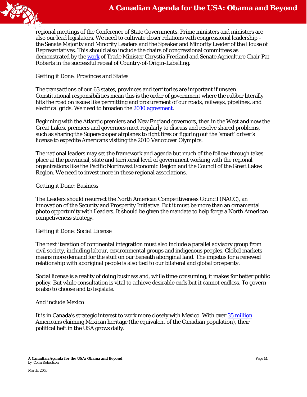

regional meetings of the Conference of State Governments. Prime ministers and ministers are also our lead legislators. We need to cultivate closer relations with congressional leadership – the Senate Majority and Minority Leaders and the Speaker and Minority Leader of the House of Representatives. This should also include the chairs of congressional committees as demonstrated by th[e work](https://openparliament.ca/debates/2015/12/7/chrystia-freeland-3/only/) of Trade Minister Chrystia Freeland and Senate Agriculture Chair Pat Roberts in the successful repeal of Country-of-Origin-Labelling.

#### *Getting it Done: Provinces and States*

The transactions of our 63 states, provinces and territories are important if unseen. Constitutional responsibilities mean this is the order of government where the rubber literally hits the road on issues like permitting and procurement of our roads, railways, pipelines, and electrical grids. We need to broaden the [2010 agreement.](http://www.international.gc.ca/trade-agreements-accords-commerciaux/agr-acc/other-autre/us-eu.aspx?lang=eng)

Beginning with the Atlantic premiers and New England governors, then in the West and now the Great Lakes, premiers and governors meet regularly to discuss and resolve shared problems, such as sharing the Superscooper airplanes to fight fires or figuring out the 'smart' driver's license to expedite Americans visiting the 2010 Vancouver Olympics.

The national leaders may set the framework and agenda but much of the follow-through takes place at the provincial, state and territorial level of government working with the regional organizations like the Pacific Northwest Economic Region and the Council of the Great Lakes Region. We need to invest more in these regional associations.

#### *Getting it Done: Business*

The Leaders should resurrect the North American Competitiveness Council (NACC), an innovation of the Security and Prosperity Initiative. But it must be more than an ornamental photo opportunity with Leaders. It should be given the mandate to help forge a North American competiveness strategy.

#### *Getting it Done: Social License*

The next iteration of continental integration must also include a parallel advisory group from civil society, including labour, environmental groups and indigenous peoples. Global markets means more demand for the stuff on our beneath aboriginal land. The impetus for a renewed relationship with aboriginal people is also tied to our bilateral and global prosperity.

Social license is a reality of doing business and, while time-consuming, it makes for better public policy. But while consultation is vital to achieve desirable ends but it cannot endless. To govern is also to choose and to legislate.

#### *And include Mexico*

It is in Canada's strategic interest to work more closely with Mexico. With ove[r 35 million](http://www.pewhispanic.org/2012/06/27/the-10-largest-hispanic-origin-groups-characteristics-rankings-top-counties/) Americans claiming Mexican heritage (the equivalent of the Canadian population), their political heft in the USA grows daily.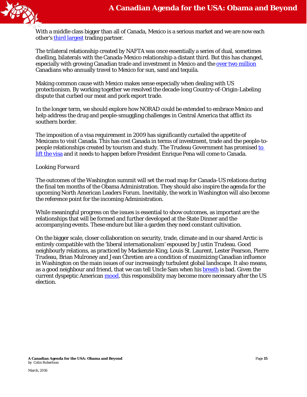

With a middle class bigger than all of Canada, Mexico is a serious market and we are now each other's [third largest](http://www.canadainternational.gc.ca/mexico-mexique/canmex.aspx?lang=eng) trading partner.

The trilateral relationship created by NAFTA was once essentially a series of dual, sometimes duelling, bilaterals with the Canada-Mexico relationship a distant third. But this has changed, especially with growing Canadian trade and investment in Mexico and the [over two million](http://www.canadainternational.gc.ca/mexico-mexique/canmex.aspx?lang=eng) Canadians who annually travel to Mexico for sun, sand and tequila.

Making common cause with Mexico makes sense especially when dealing with US protectionism. By working together we resolved the decade-long Country-of-Origin-Labeling dispute that curbed our meat and pork export trade.

In the longer term, we should explore how NORAD could be extended to embrace Mexico and help address the drug and people-smuggling challenges in Central America that afflict its southern border.

The imposition of a visa requirement in 2009 has significantly curtailed the appetite of Mexicans to visit Canada. This has cost Canada in terms of investment, trade and the people-topeople relationships created by tourism and study. The Trudeau Government has promised to [lift the visa](http://pm.gc.ca/eng/minister-immigration-refugees-and-citizenship-mandate-letter) and it needs to happen before President Enrique Pena will come to Canada.

#### *Looking Forward*

The outcomes of the Washington summit will set the road map for Canada-US relations during the final ten months of the Obama Administration. They should also inspire the agenda for the upcoming North American Leaders Forum. Inevitably, the work in Washington will also become the reference point for the incoming Administration.

While meaningful progress on the issues is essential to show outcomes, as important are the relationships that will be formed and further developed at the State Dinner and the accompanying events. These endure but like a garden they need constant cultivation.

On the bigger scale, closer collaboration on security, trade, climate and in our shared Arctic is entirely compatible with the 'liberal internationalism' espoused by Justin Trudeau. Good neighbourly relations, as practiced by Mackenzie King, Louis St. Laurent, Lester Pearson, Pierre Trudeau, Brian Mulroney and Jean Chretien are a condition of maximizing Canadian influence in Washington on the main issues of our increasingly turbulent global landscape. It also means, as a good neighbour and friend, that we can tell Uncle Sam when his [breath](https://books.google.ca/books?id=0qt1AAAAMAAJ&q=John+Holmes+Life+with+Uncle&dq=John+Holmes+Life+with+Uncle&hl=en&sa=X&ved=0ahUKEwjq05C39qzLAhWDu4MKHaWuAa8Q6AEIITAB) is bad. Given the current dyspeptic American [mood,](http://www.people-press.org/2015/11/23/beyond-distrust-how-americans-view-their-government/) this responsibility may become more necessary after the US election.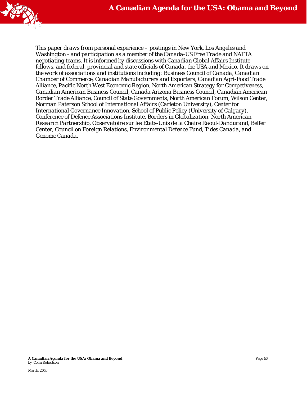

*This paper draws from personal experience – postings in New York, Los Angeles and Washington - and participation as a member of the Canada-US Free Trade and NAFTA negotiating teams. It is informed by discussions with Canadian Global Affairs Institute fellows, and federal, provincial and state officials of Canada, the USA and Mexico. It draws on the work of associations and institutions including: Business Council of Canada, Canadian Chamber of Commerce, Canadian Manufacturers and Exporters, Canadian Agri-Food Trade Alliance, Pacific North West Economic Region, North American Strategy for Competiveness, Canadian American Business Council, Canada Arizona Business Council, Canadian American Border Trade Alliance, Council of State Governments, North American Forum, Wilson Center, Norman Paterson School of International Affairs (Carleton University), Center for International Governance Innovation, School of Public Policy (University of Calgary), Conference of Defence Associations Institute, Borders in Globalization, North American Research Partnership, Observatoire sur les États-Unis de la Chaire Raoul-Dandurand, Belfer Center, Council on Foreign Relations, Environmental Defence Fund, Tides Canada, and Genome Canada.*